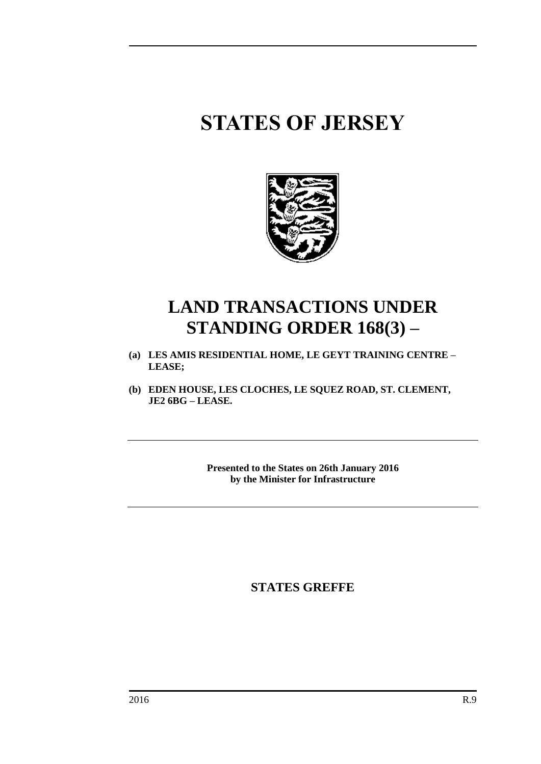# **STATES OF JERSEY**



## **LAND TRANSACTIONS UNDER STANDING ORDER 168(3) –**

- **(a) LES AMIS RESIDENTIAL HOME, LE GEYT TRAINING CENTRE – LEASE;**
- **(b) EDEN HOUSE, LES CLOCHES, LE SQUEZ ROAD, ST. CLEMENT, JE2 6BG – LEASE.**

**Presented to the States on 26th January 2016 by the Minister for Infrastructure**

**STATES GREFFE**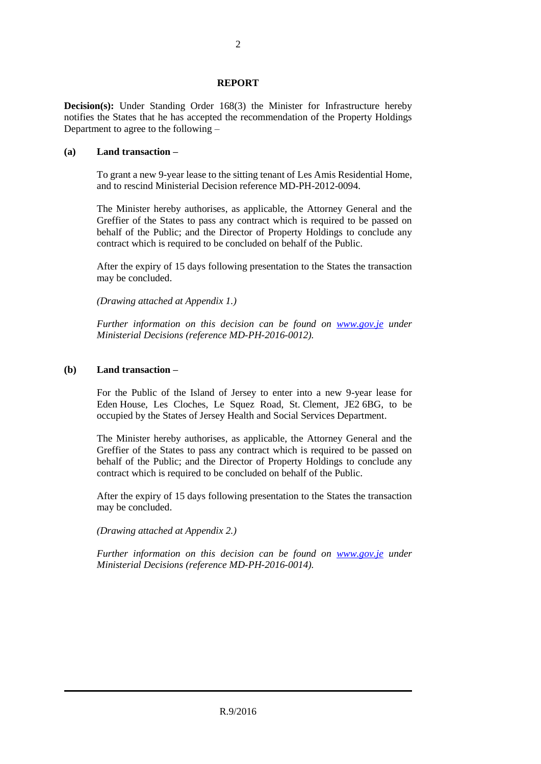### **REPORT**

**Decision(s):** Under Standing Order 168(3) the Minister for Infrastructure hereby notifies the States that he has accepted the recommendation of the Property Holdings Department to agree to the following –

#### **(a) Land transaction –**

To grant a new 9-year lease to the sitting tenant of Les Amis Residential Home, and to rescind Ministerial Decision reference MD-PH-2012-0094.

The Minister hereby authorises, as applicable, the Attorney General and the Greffier of the States to pass any contract which is required to be passed on behalf of the Public; and the Director of Property Holdings to conclude any contract which is required to be concluded on behalf of the Public.

After the expiry of 15 days following presentation to the States the transaction may be concluded.

*(Drawing attached at Appendix 1.)*

*Further information on this decision can be found on [www.gov.je](http://www.gov.je/) under Ministerial Decisions (reference MD-PH-2016-0012).*

### **(b) Land transaction –**

For the Public of the Island of Jersey to enter into a new 9-year lease for Eden House, Les Cloches, Le Squez Road, St. Clement, JE2 6BG, to be occupied by the States of Jersey Health and Social Services Department.

The Minister hereby authorises, as applicable, the Attorney General and the Greffier of the States to pass any contract which is required to be passed on behalf of the Public; and the Director of Property Holdings to conclude any contract which is required to be concluded on behalf of the Public.

After the expiry of 15 days following presentation to the States the transaction may be concluded.

*(Drawing attached at Appendix 2.)*

*Further information on this decision can be found on [www.gov.je](http://www.gov.je/) under Ministerial Decisions (reference MD-PH-2016-0014).*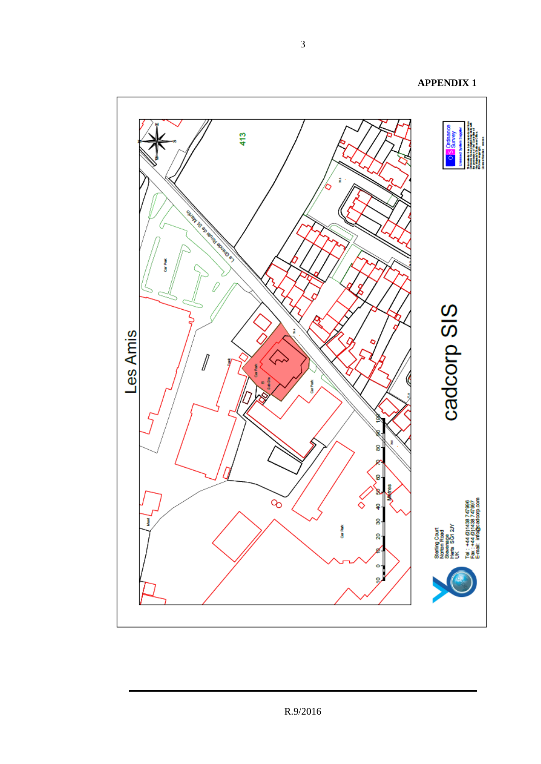413 ż **MARINER RIVER Maximal** tin Paris cadcorp SIS Les Amis  $\mathbb{Z}$ CarPark ğ ទួ 8 Sterling Court<br>Monton Road<br>Hers SG1 2V<br>Hers SG1 2V<br>Tel : +44 0)1438 747996<br>Tenail: Info@cadoopp.com<br>E-mail: Info@cadoopp.com  $\infty$ ◇ ş g J Car Ref. Q.  $\rightarrow$ g